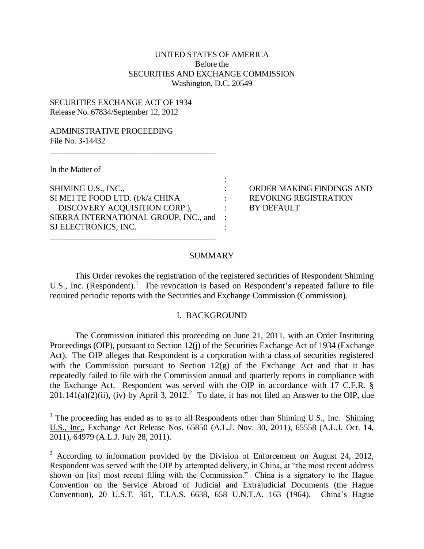# UNITED STATES OF AMERICA Before the SECURITIES AND EXCHANGE COMMISSION Washington, D.C. 20549

# SECURITIES EXCHANGE ACT OF 1934 Release No. 67834/September 12, 2012

## ADMINISTRATIVE PROCEEDING File No. 3-14432

In the Matter of

<u>.</u>

| SHIMING U.S., INC.,                   |         |
|---------------------------------------|---------|
| SI MEI TE FOOD LTD. (f/k/a CHINA      |         |
| DISCOVERY ACQUISITION CORP.),         |         |
| SIERRA INTERNATIONAL GROUP, INC., and | $\cdot$ |
| SJ ELECTRONICS, INC.                  |         |
|                                       |         |

\_\_\_\_\_\_\_\_\_\_\_\_\_\_\_\_\_\_\_\_\_\_\_\_\_\_\_\_\_\_\_\_\_\_\_\_\_\_\_\_\_

: ORDER MAKING FINDINGS AND : REVOKING REGISTRATION : BY DEFAULT

## SUMMARY

:

This Order revokes the registration of the registered securities of Respondent Shiming U.S., Inc. (Respondent).<sup>1</sup> The revocation is based on Respondent's repeated failure to file required periodic reports with the Securities and Exchange Commission (Commission).

## I. BACKGROUND

The Commission initiated this proceeding on June 21, 2011, with an Order Instituting Proceedings (OIP), pursuant to Section 12(j) of the Securities Exchange Act of 1934 (Exchange Act). The OIP alleges that Respondent is a corporation with a class of securities registered with the Commission pursuant to Section  $12(g)$  of the Exchange Act and that it has repeatedly failed to file with the Commission annual and quarterly reports in compliance with the Exchange Act. Respondent was served with the OIP in accordance with 17 C.F.R. §  $201.141(a)(2)(ii)$ , (iv) by April 3,  $2012<sup>2</sup>$  To date, it has not filed an Answer to the OIP, due

<sup>&</sup>lt;sup>1</sup> The proceeding has ended as to as to all Respondents other than Shiming U.S., Inc. Shiming U.S., Inc., Exchange Act Release Nos. 65850 (A.L.J. Nov. 30, 2011), 65558 (A.L.J. Oct. 14, 2011), 64979 (A.L.J. July 28, 2011).

<sup>&</sup>lt;sup>2</sup> According to information provided by the Division of Enforcement on August 24, 2012, Respondent was served with the OIP by attempted delivery, in China, at "the most recent address shown on [its] most recent filing with the Commission." China is a signatory to the Hague Convention on the Service Abroad of Judicial and Extrajudicial Documents (the Hague Convention), 20 U.S.T. 361, T.I.A.S. 6638, 658 U.N.T.A. 163 (1964). China's Hague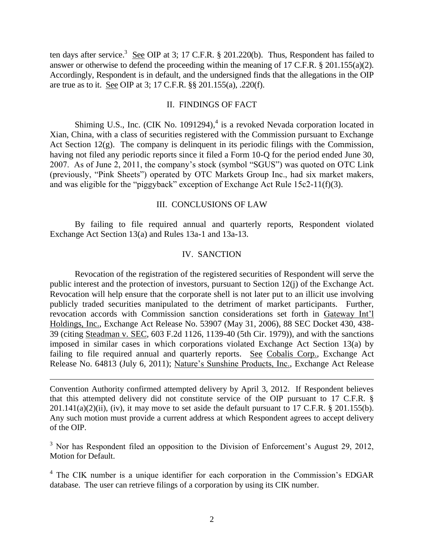ten days after service.<sup>3</sup> See OIP at 3; 17 C.F.R. § 201.220(b). Thus, Respondent has failed to answer or otherwise to defend the proceeding within the meaning of 17 C.F.R. § 201.155(a)(2). Accordingly, Respondent is in default, and the undersigned finds that the allegations in the OIP are true as to it. See OIP at 3; 17 C.F.R. §§ 201.155(a), .220(f).

### II. FINDINGS OF FACT

Shiming U.S., Inc. (CIK No. 1091294),<sup>4</sup> is a revoked Nevada corporation located in Xian, China, with a class of securities registered with the Commission pursuant to Exchange Act Section  $12(g)$ . The company is delinquent in its periodic filings with the Commission, having not filed any periodic reports since it filed a Form 10-Q for the period ended June 30, 2007. As of June 2, 2011, the company's stock (symbol "SGUS") was quoted on OTC Link (previously, "Pink Sheets") operated by OTC Markets Group Inc., had six market makers, and was eligible for the "piggyback" exception of Exchange Act Rule 15c2-11(f)(3).

### III. CONCLUSIONS OF LAW

By failing to file required annual and quarterly reports, Respondent violated Exchange Act Section 13(a) and Rules 13a-1 and 13a-13.

### IV. SANCTION

Revocation of the registration of the registered securities of Respondent will serve the public interest and the protection of investors, pursuant to Section 12(j) of the Exchange Act. Revocation will help ensure that the corporate shell is not later put to an illicit use involving publicly traded securities manipulated to the detriment of market participants. Further, revocation accords with Commission sanction considerations set forth in Gateway Int'l Holdings, Inc., Exchange Act Release No. 53907 (May 31, 2006), 88 SEC Docket 430, 438- 39 (citing Steadman v. SEC, 603 F.2d 1126, 1139-40 (5th Cir. 1979)), and with the sanctions imposed in similar cases in which corporations violated Exchange Act Section 13(a) by failing to file required annual and quarterly reports. See Cobalis Corp., Exchange Act Release No. 64813 (July 6, 2011); Nature's Sunshine Products, Inc., Exchange Act Release

Convention Authority confirmed attempted delivery by April 3, 2012. If Respondent believes that this attempted delivery did not constitute service of the OIP pursuant to 17 C.F.R. §  $201.141(a)(2)(ii)$ , (iv), it may move to set aside the default pursuant to 17 C.F.R. § 201.155(b). Any such motion must provide a current address at which Respondent agrees to accept delivery of the OIP.

<u>.</u>

 $3$  Nor has Respondent filed an opposition to the Division of Enforcement's August 29, 2012, Motion for Default.

<sup>4</sup> The CIK number is a unique identifier for each corporation in the Commission's EDGAR database. The user can retrieve filings of a corporation by using its CIK number.